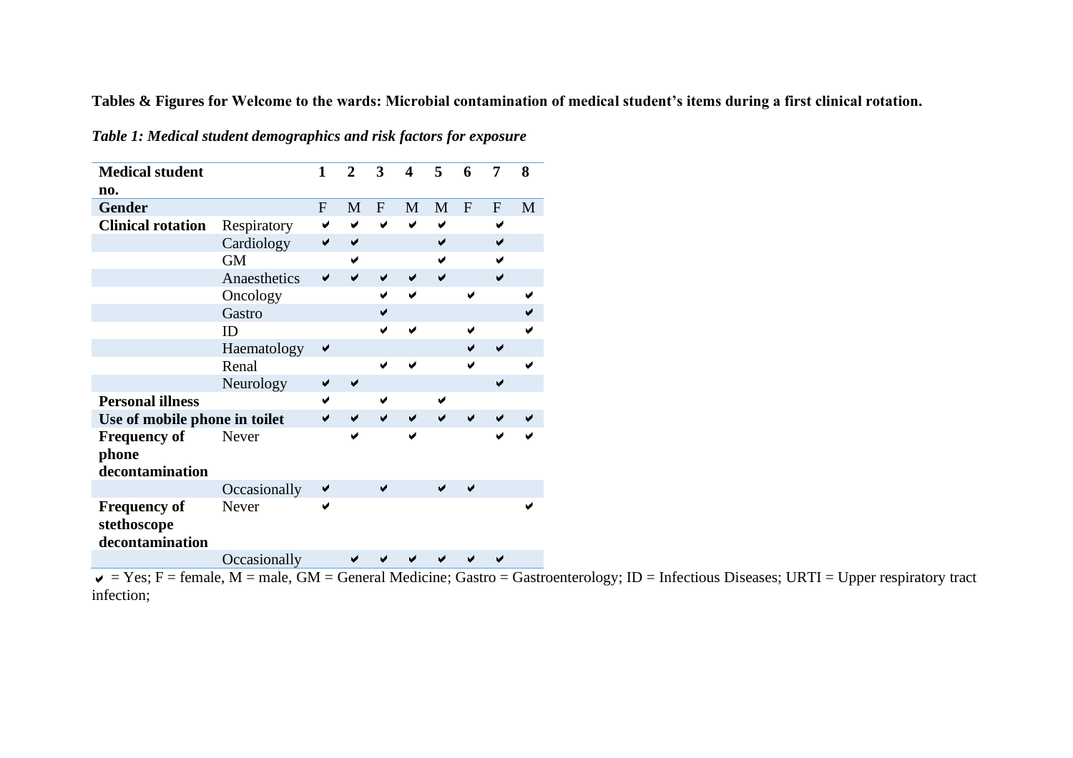**Tables & Figures for Welcome to the wards: Microbial contamination of medical student's items during a first clinical rotation.**

| <b>Medical student</b><br>no.                         |              | $\mathbf{1}$ | $\overline{2}$       | 3         | $\boldsymbol{\Delta}$ | 5 | 6         | 7         | 8 |
|-------------------------------------------------------|--------------|--------------|----------------------|-----------|-----------------------|---|-----------|-----------|---|
| <b>Gender</b>                                         |              | ${\bf F}$    | M                    | ${\bf F}$ | M                     | M | ${\bf F}$ | ${\bf F}$ | M |
| <b>Clinical rotation</b>                              | Respiratory  | ✔            | ✔                    | ✔         | ✔                     | ✔ |           | ✔         |   |
|                                                       | Cardiology   | ✔            | ✔                    |           |                       | ✔ |           |           |   |
|                                                       | <b>GM</b>    |              | ✔                    |           |                       | ✔ |           |           |   |
|                                                       | Anaesthetics |              | ◡                    | ✔         | ✔                     | ✔ |           | ✔         |   |
|                                                       | Oncology     |              |                      | V         | ✔                     |   | Ñ         |           |   |
|                                                       | Gastro       |              |                      | ✔         |                       |   |           |           |   |
|                                                       | ID           |              |                      |           |                       |   |           |           |   |
|                                                       | Haematology  | ✔            |                      |           |                       |   |           | ✔         |   |
|                                                       | Renal        |              |                      | ✔         |                       |   |           |           | ✔ |
|                                                       | Neurology    | ✔            | $\blacktriangledown$ |           |                       |   |           | ✔         |   |
| <b>Personal illness</b>                               |              | ✔            |                      | ✔         |                       | ✔ |           |           |   |
| Use of mobile phone in toilet                         |              | ✔            | ✔                    | ✔         | ✔                     | ✔ | ✔         | ✔         |   |
| <b>Frequency of</b><br>phone<br>decontamination       | Never        |              | ✔                    |           | ✔                     |   |           | ✔         |   |
|                                                       | Occasionally | ✔            |                      | ✔         |                       | ✔ |           |           |   |
| <b>Frequency of</b><br>stethoscope<br>decontamination | Never        | ✔            |                      |           |                       |   |           |           |   |
|                                                       | Occasionally |              |                      |           |                       |   |           |           |   |

*Table 1: Medical student demographics and risk factors for exposure*

 $\overline{v}$  = Yes; F = female, M = male, GM = General Medicine; Gastro = Gastroenterology; ID = Infectious Diseases; URTI = Upper respiratory tract infection;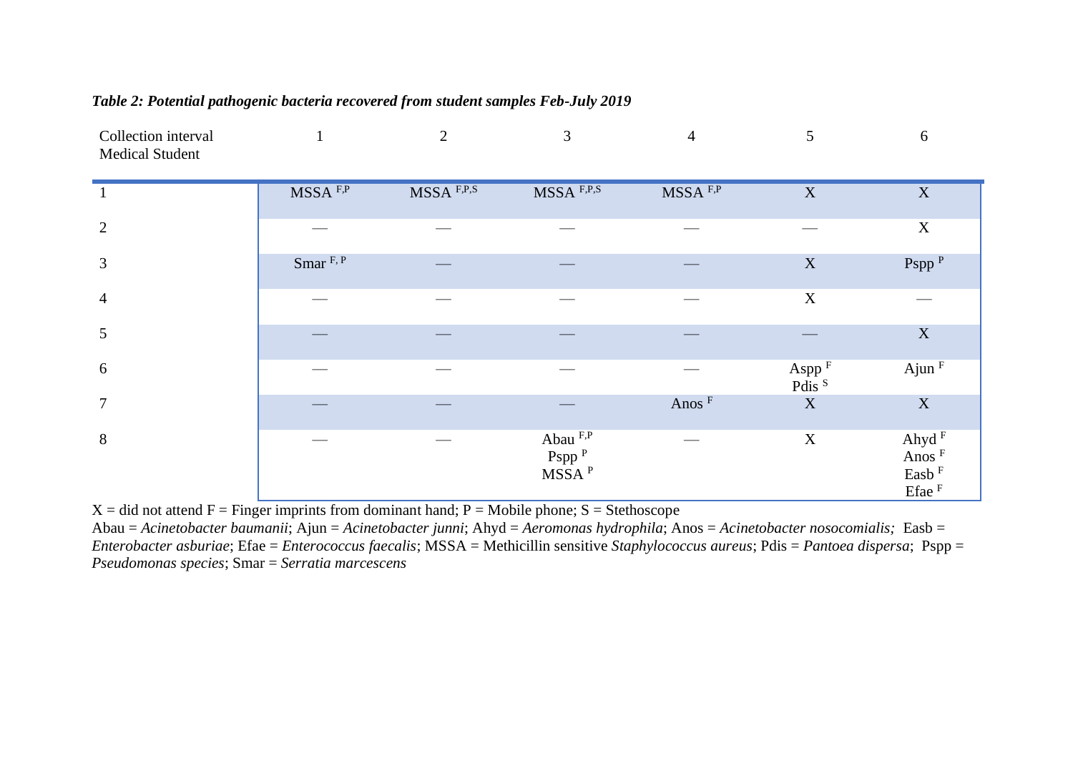| Table 2: Potential pathogenic bacteria recovered from student samples Feb-July 2019 |  |  |  |  |  |  |
|-------------------------------------------------------------------------------------|--|--|--|--|--|--|
|-------------------------------------------------------------------------------------|--|--|--|--|--|--|

| Collection interval<br><b>Medical Student</b> |                      | 2          | 3                                                  | $\overline{4}$      | 5                                      | $6\,$                                                                    |
|-----------------------------------------------|----------------------|------------|----------------------------------------------------|---------------------|----------------------------------------|--------------------------------------------------------------------------|
|                                               | MSSA <sup>F,P</sup>  | MSSA F,P,S | $MSSA$ F,P,S                                       | MSSA <sup>F,P</sup> | $\mathbf X$                            | $\mathbf X$                                                              |
| $\overline{2}$                                |                      |            |                                                    |                     |                                        | $\mathbf X$                                                              |
| $\mathfrak{Z}$                                | Smar <sup>F, P</sup> |            |                                                    |                     | $\mathbf X$                            | Pspp <sup>P</sup>                                                        |
| $\overline{4}$                                |                      |            |                                                    |                     | $\mathbf X$                            |                                                                          |
| $5\overline{)}$                               |                      |            |                                                    |                     |                                        | $\mathbf X$                                                              |
| 6                                             |                      |            |                                                    |                     | Aspp <sup>F</sup><br>Pdis <sup>S</sup> | $A$ jun $F$                                                              |
| $\overline{7}$                                |                      |            |                                                    | Anos <sup>F</sup>   | $\mathbf X$                            | $\mathbf X$                                                              |
| $8\,$                                         |                      |            | Abau F,P<br>Pspp <sup>P</sup><br>MSSA <sup>P</sup> |                     | $\mathbf X$                            | Ahyd $^{\rm F}$<br>Anos <sup>F</sup><br>Easb <sup>F</sup><br>$E$ fae $F$ |

 $X = did$  not attend  $F =$  Finger imprints from dominant hand;  $P =$  Mobile phone;  $S =$  Stethoscope

Abau = *Acinetobacter baumanii*; Ajun = *Acinetobacter junni*; Ahyd = *Aeromonas hydrophila*; Anos = *Acinetobacter nosocomialis;* Easb = *Enterobacter asburiae*; Efae = *Enterococcus faecalis*; MSSA = Methicillin sensitive *Staphylococcus aureus*; Pdis = *Pantoea dispersa*; Pspp = *Pseudomonas species*; Smar = *Serratia marcescens*